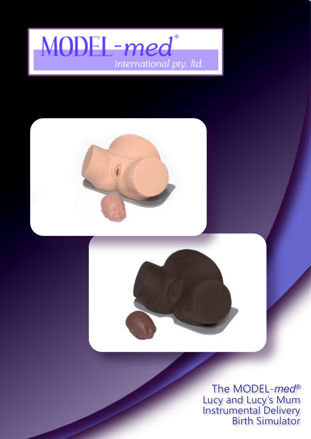



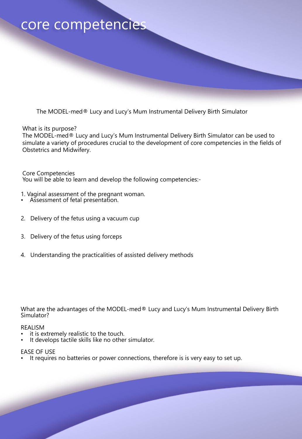#### core competencies

The MODEL-med® Lucy and Lucy's Mum Instrumental Delivery Birth Simulator

What is its purpose?

The MODEL-med® Lucy and Lucy's Mum Instrumental Delivery Birth Simulator can be used to simulate a variety of procedures crucial to the development of core competencies in the fields of Obstetrics and Midwifery.

Core Competencies You will be able to learn and develop the following competencies:-

- 1. Vaginal assessment of the pregnant woman.
- Assessment of fetal presentation.
- 2. Delivery of the fetus using a vacuum cup
- 3. Delivery of the fetus using forceps
- 4. Understanding the practicalities of assisted delivery methods

What are the advantages of the MODEL-med® Lucy and Lucy's Mum Instrumental Delivery Birth Simulator?

#### REALISM

- it is extremely realistic to the touch.
- It develops tactile skills like no other simulator.

#### EASE OF USE

It requires no batteries or power connections, therefore is is very easy to set up.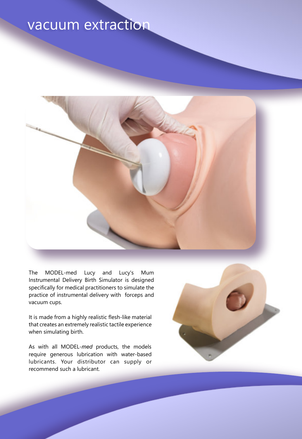## vacuum extraction



The MODEL-med Lucy and Lucy's Mum Instrumental Delivery Birth Simulator is designed specifically for medical practitioners to simulate the practice of instrumental delivery with forceps and vacuum cups.

It is made from a highly realistic flesh-like material that creates an extremely realistic tactile experience when simulating birth.

As with all MODEL-*med* products, the models require generous lubrication with water-based lubricants. Your distributor can supply or recommend such a lubricant.

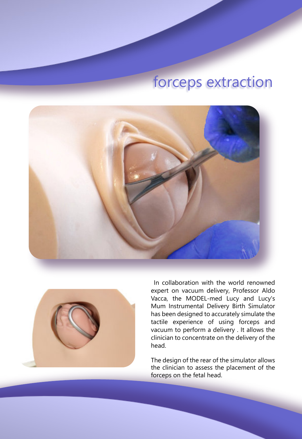## forceps extraction





In collaboration with the world renowned expert on vacuum delivery, Professor Aldo Vacca, the MODEL-med Lucy and Lucy's Mum Instrumental Delivery Birth Simulator has been designed to accurately simulate the tactile experience of using forceps and vacuum to perform a delivery . It allows the clinician to concentrate on the delivery of the head.

The design of the rear of the simulator allows the clinician to assess the placement of the forceps on the fetal head.